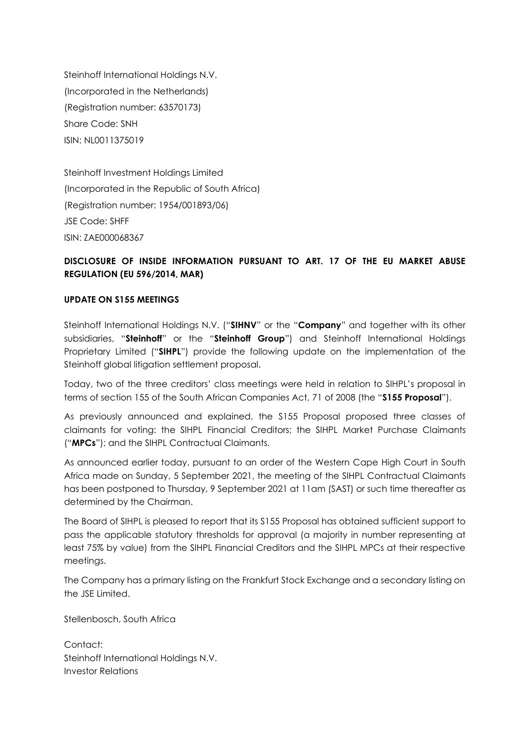Steinhoff International Holdings N.V. (Incorporated in the Netherlands) (Registration number: 63570173) Share Code: SNH ISIN: NL0011375019

Steinhoff Investment Holdings Limited (Incorporated in the Republic of South Africa) (Registration number: 1954/001893/06) JSE Code: SHFF ISIN: ZAE000068367

## **DISCLOSURE OF INSIDE INFORMATION PURSUANT TO ART. 17 OF THE EU MARKET ABUSE REGULATION (EU 596/2014, MAR)**

## **UPDATE ON S155 MEETINGS**

Steinhoff International Holdings N.V. ("**SIHNV**" or the "**Company**" and together with its other subsidiaries, "**Steinhoff**" or the "**Steinhoff Group**") and Steinhoff International Holdings Proprietary Limited ("**SIHPL**") provide the following update on the implementation of the Steinhoff global litigation settlement proposal.

Today, two of the three creditors' class meetings were held in relation to SIHPL's proposal in terms of section 155 of the South African Companies Act, 71 of 2008 (the "**S155 Proposal**").

As previously announced and explained, the S155 Proposal proposed three classes of claimants for voting: the SIHPL Financial Creditors; the SIHPL Market Purchase Claimants ("**MPCs**"); and the SIHPL Contractual Claimants.

As announced earlier today, pursuant to an order of the Western Cape High Court in South Africa made on Sunday, 5 September 2021, the meeting of the SIHPL Contractual Claimants has been postponed to Thursday, 9 September 2021 at 11am (SAST) or such time thereafter as determined by the Chairman.

The Board of SIHPL is pleased to report that its S155 Proposal has obtained sufficient support to pass the applicable statutory thresholds for approval (a majority in number representing at least 75% by value) from the SIHPL Financial Creditors and the SIHPL MPCs at their respective meetings.

The Company has a primary listing on the Frankfurt Stock Exchange and a secondary listing on the JSE Limited.

Stellenbosch, South Africa

Contact: Steinhoff International Holdings N.V. Investor Relations